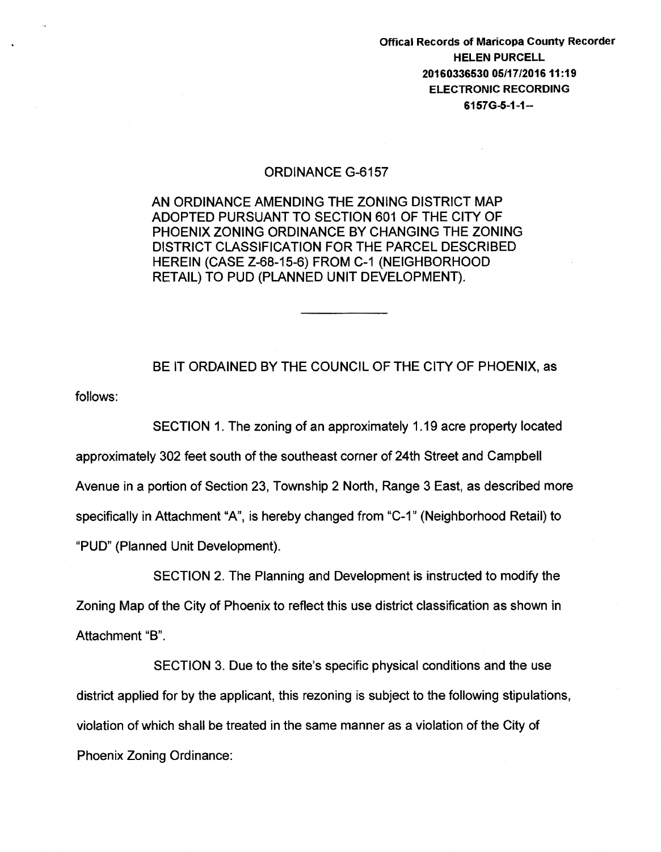Offical Records of Maricopa County Recorder HELEN PURCELL 20160336530 05/17/201611:19 ELECTRONIC RECORDING  $6157G-5-1-1-$ 

## ORDINANCE G-6157

AN ORDINANCE AMENDING THE ZONING DISTRICT MAP ADOPTED PURSUANT TO SECTION 601 OF THE CITY OF PHOENIX ZONING ORDINANCE BY CHANGING THE ZONING DISTRICT CLASSIFICATION FOR THE PARCEL DESCRIBED HEREIN (CASE Z-68-15-6) FROM C-1 (NEIGHBORHOOD RETAIL) TO PUD (PLANNED UNIT DEVELOPMENT).

BE IT ORDAINED BY THE COUNCIL OF THE CITY OF PHOENIX, as

follows:

SECTION 1. The zoning of an approximately 1.19 acre property located approximately 302 feet south of the southeast corner of 24th Street and Campbell Avenue in a portion of Section 23, Township 2 North, Range 3 East, as described more specifically in Attachment "A", is hereby changed from "C-1" (Neighborhood Retail) to "PUD" (Planned Unit Development).

SECTION 2. The Planning and Development is instructed to modify the Zoning Map of the City of Phoenix to reflect this use district classification as shown in Attachment "B".

SECTION 3. Due to the site's specific physical conditions and the use district applied for by the applicant, this rezoning is subject to the following stipulations, violation of which shall be treated in the same manner as a violation of the City of Phoenix Zoning Ordinance: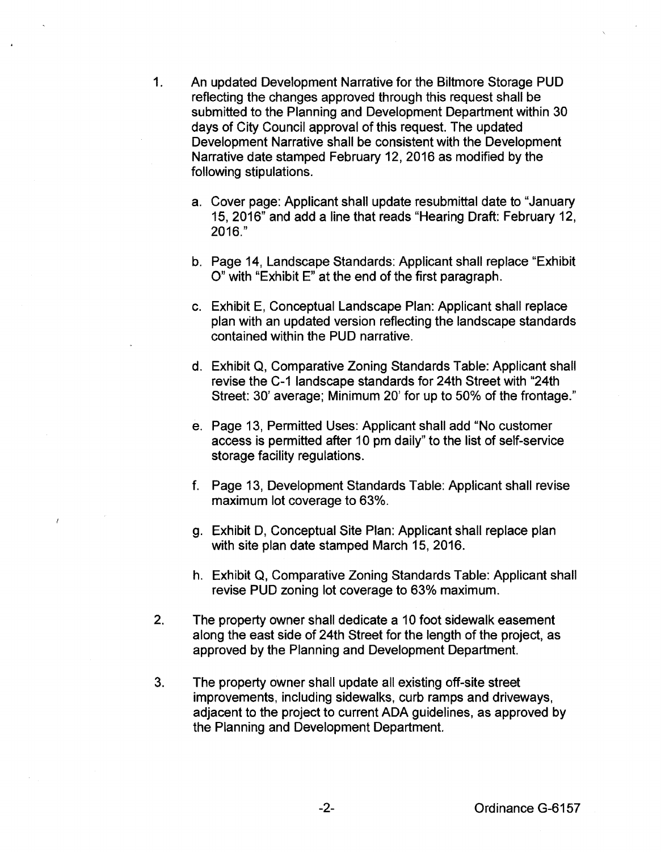- 1. An updated Development Narrative for the Biltmore Storage PUD reflecting the changes approved through this request shall be submitted to the Planning and Development Department within 30 days of City Council approval of this request. The updated Development Narrative shall be consistent with the Development Narrative date stamped February 12, 2016 as modified by the following stipulations.
	- a. Cover page: Applicant shall update resubmittal date to "January 15, 2016" and add a line that reads "Hearing Draft: February 12, 2016."
	- b. Page 14, Landscape Standards: Applicant shall replace "Exhibit 0" with "Exhibit E" at the end of the first paragraph.
	- c. Exhibit E, Conceptual Landscape Plan: Applicant shall replace plan with an updated version reflecting the landscape standards contained within the PUD narrative.
	- d. Exhibit Q, Comparative Zoning Standards Table: Applicant shall revise the C-1 landscape standards for 24th Street with "24th Street: 30' average; Minimum 20' for up to 50% of the frontage."
	- e. Page 13, Permitted Uses: Applicant shall add "No customer access is permitted after 10 pm daily" to the list of self-service storage facility regulations.
	- f. Page 13, Development Standards Table: Applicant shall revise maximum lot coverage to 63%.
	- g. Exhibit D, Conceptual Site Plan: Applicant shall replace plan with site plan date stamped March 15, 2016.
	- h. Exhibit Q, Comparative Zoning Standards Table: Applicant shall revise PUD zoning lot coverage to 63% maximum.
- 2. The property owner shall dedicate a 10 foot sidewalk easement along the east side of 24th Street for the length of the project, as approved by the Planning and Development Department.
- 3. The property owner shall update all existing off-site street improvements, including sidewalks, curb ramps and driveways, adjacent to the project to current ADA guidelines, as approved by the Planning and Development Department.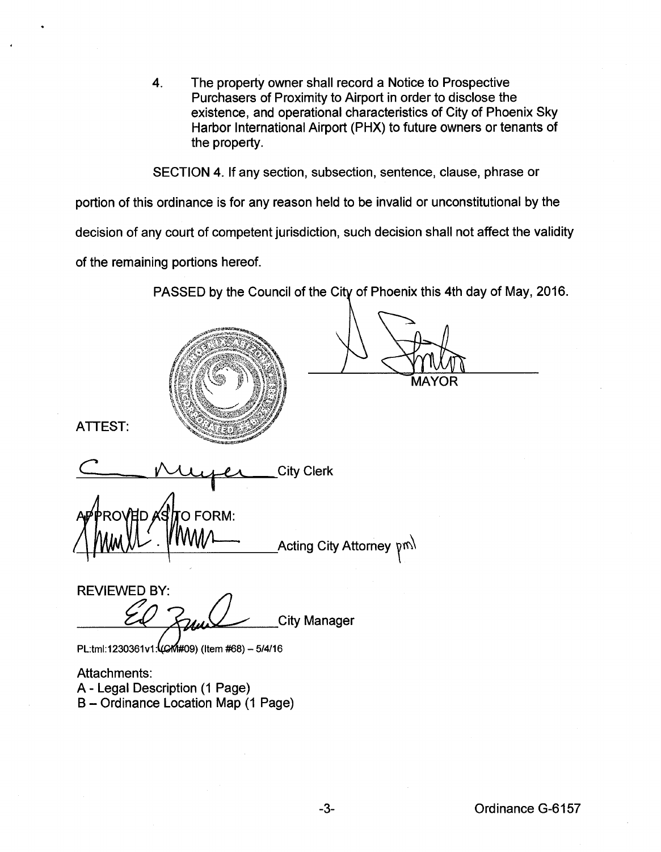4. The property owner shall record a Notice to Prospective Purchasers of Proximity to Airport in order to disclose the existence, and operational characteristics of City of Phoenix Sky Harbor International Airport (PHX) to future owners or tenants of the property.

SECTION 4. If any section, subsection, sentence, clause, phrase or

portion of this ordinance is for any reason held to be invalid or unconstitutional by the

decision of any court of competent jurisdiction, such decision shall not affect the validity

of the remaining portions hereof.

PASSED by the Council of the City of Phoenix this 4th day of May, 2016.

MAYOR ATTEST: City Clerk O FORM: Acting City Attorney  $pm$ 

**REVIEWED BY: City Manager** 

PL:tml:1230361v1:4CM#09) (Item #68) - 5/4/16

Attachments: A- Legal Description (1 Page) B- Ordinance Location Map (1 Page)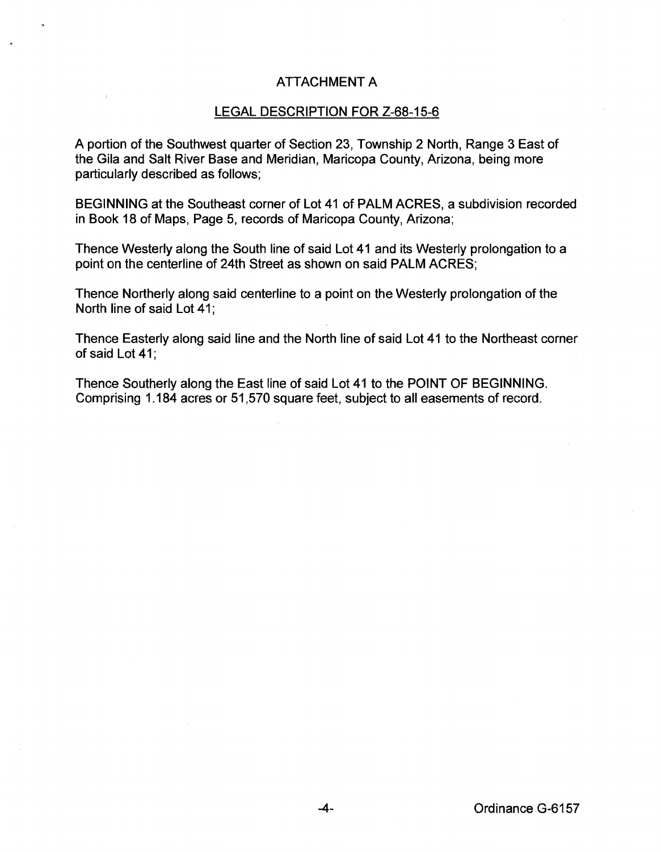## ATTACHMENT A

## LEGAL DESCRIPTION FOR Z-68-15-6

A portion of the Southwest quarter of Section 23, Township 2 North, Range 3 East of the Gila and Salt River Base and Meridian, Maricopa County, Arizona, being more particularly described as follows;

BEGINNING at the Southeast corner of Lot 41 of PALM ACRES, a subdivision recorded in Book 18 of Maps, Page 5, records of Maricopa County, Arizona;

Thence Westerly along the South line of said Lot 41 and its Westerly prolongation to a point on the centerline of 24th Street as shown on said PALM ACRES;

Thence Northerly along said centerline to a point on the Westerly prolongation of the North line of said Lot 41;

Thence Easterly along said line and the North line of said Lot 41 to the Northeast corner of said Lot 41;

Thence Southerly along the East line of said Lot 41 to the POINT OF BEGINNING. Comprising 1.184 acres or 51 ,570 square feet, subject to all easements of record.